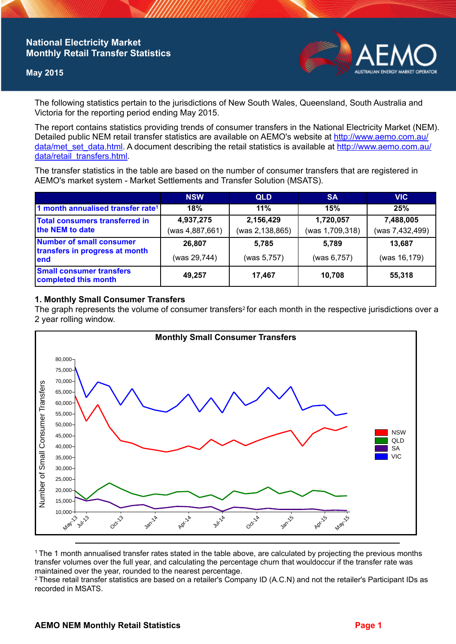### **National Electricity Market Monthly Retail Transfer Statistics**

### **May 2015**



The following statistics pertain to the jurisdictions of New South Wales, Queensland, South Australia and Victoria for the reporting period ending May 2015.

The report contains statistics providing trends of consumer transfers in the National Electricity Market (NEM). Detailed public NEM retail transfer statistics are available on AEMO's website at [http://www.aemo.com.au/](http://www.aemo.com.au/data/met_set_data.html) [data/met\\_set\\_data.html](http://www.aemo.com.au/data/met_set_data.html). A document describing the retail statistics is available at [http://www.aemo.com.au/](http://www.aemo.com.au/data/retail_transfers.html) [data/retail\\_transfers.html](http://www.aemo.com.au/data/retail_transfers.html).

The transfer statistics in the table are based on the number of consumer transfers that are registered in AEMO's market system - Market Settlements and Transfer Solution (MSATS).

|                                                                    | <b>NSW</b>                   | <b>QLD</b>                   | <b>SA</b>                    | <b>VIC</b>                   |
|--------------------------------------------------------------------|------------------------------|------------------------------|------------------------------|------------------------------|
| 1 month annualised transfer rate <sup>1</sup>                      | 18%                          | 11%                          | 15%                          | 25%                          |
| Total consumers transferred in<br>the NEM to date                  | 4,937,275<br>(was 4,887,661) | 2,156,429<br>(was 2,138,865) | 1,720,057<br>(was 1,709,318) | 7,488,005<br>(was 7,432,499) |
| Number of small consumer<br>transfers in progress at month<br>lend | 26.807                       | 5.785                        | 5.789                        | 13,687                       |
|                                                                    | (was 29,744)                 | (was 5,757)                  | (was 6,757)                  | (was 16,179)                 |
| <b>Small consumer transfers</b><br>completed this month            | 49,257                       | 17,467                       | 10,708                       | 55,318                       |

### **1. Monthly Small Consumer Transfers**

The graph represents the volume of consumer transfers<sup>2</sup> for each month in the respective jurisdictions over a 2 year rolling window.



<sup>1</sup>The 1 month annualised transfer rates stated in the table above, are calculated by projecting the previous months transfer volumes over the full year, and calculating the percentage churn that wouldoccur if the transfer rate was maintained over the year, rounded to the nearest percentage.

<sup>2</sup> These retail transfer statistics are based on a retailer's Company ID (A.C.N) and not the retailer's Participant IDs as recorded in MSATS.